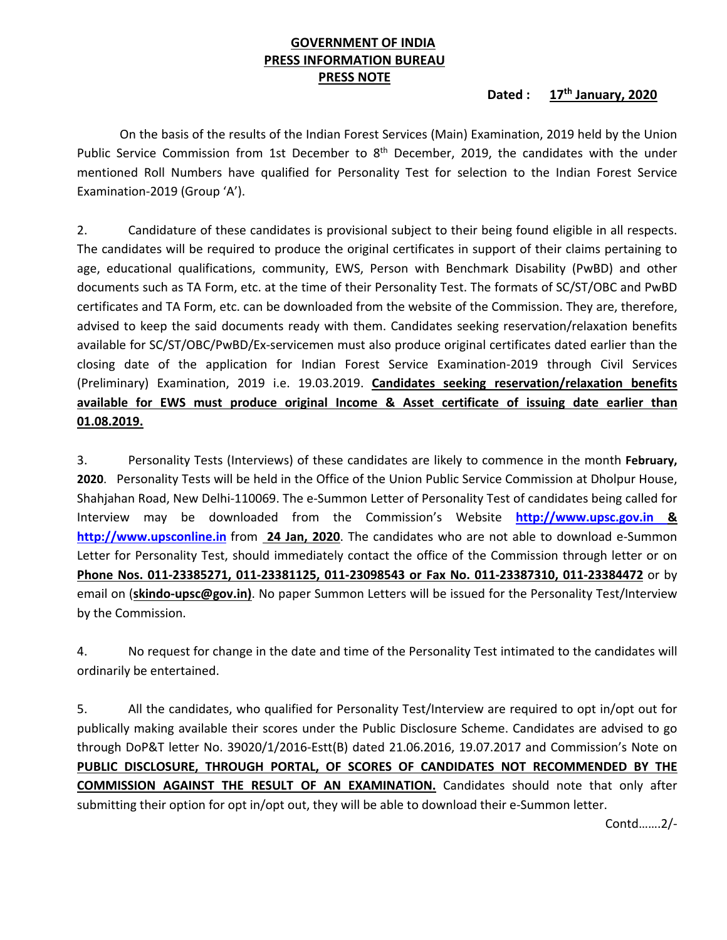# **GOVERNMENT OF INDIA PRESS INFORMATION BUREAU PRESS NOTE**

### **Dated : 17th January, 2020**

On the basis of the results of the Indian Forest Services (Main) Examination, 2019 held by the Union Public Service Commission from 1st December to  $8<sup>th</sup>$  December, 2019, the candidates with the under mentioned Roll Numbers have qualified for Personality Test for selection to the Indian Forest Service Examination‐2019 (Group 'A').

2. Candidature of these candidates is provisional subject to their being found eligible in all respects. The candidates will be required to produce the original certificates in support of their claims pertaining to age, educational qualifications, community, EWS, Person with Benchmark Disability (PwBD) and other documents such as TA Form, etc. at the time of their Personality Test. The formats of SC/ST/OBC and PwBD certificates and TA Form, etc. can be downloaded from the website of the Commission. They are, therefore, advised to keep the said documents ready with them. Candidates seeking reservation/relaxation benefits available for SC/ST/OBC/PwBD/Ex‐servicemen must also produce original certificates dated earlier than the closing date of the application for Indian Forest Service Examination‐2019 through Civil Services (Preliminary) Examination, 2019 i.e. 19.03.2019. **Candidates seeking reservation/relaxation benefits available for EWS must produce original Income & Asset certificate of issuing date earlier than 01.08.2019.** 

3. Personality Tests (Interviews) of these candidates are likely to commence in the month **February, 2020**. Personality Tests will be held in the Office of the Union Public Service Commission at Dholpur House, Shahjahan Road, New Delhi‐110069. The e‐Summon Letter of Personality Test of candidates being called for Interview may be downloaded from the Commission's Website **http://www.upsc.gov.in & http://www.upsconline.in** from  **24 Jan, 2020**. The candidates who are not able to download e‐Summon Letter for Personality Test, should immediately contact the office of the Commission through letter or on **Phone Nos. 011‐23385271, 011‐23381125, 011‐23098543 or Fax No. 011‐23387310, 011‐23384472** or by email on (**skindo‐upsc@gov.in)**. No paper Summon Letters will be issued for the Personality Test/Interview by the Commission.

4. No request for change in the date and time of the Personality Test intimated to the candidates will ordinarily be entertained.

5. All the candidates, who qualified for Personality Test/Interview are required to opt in/opt out for publically making available their scores under the Public Disclosure Scheme. Candidates are advised to go through DoP&T letter No. 39020/1/2016‐Estt(B) dated 21.06.2016, 19.07.2017 and Commission's Note on **PUBLIC DISCLOSURE, THROUGH PORTAL, OF SCORES OF CANDIDATES NOT RECOMMENDED BY THE COMMISSION AGAINST THE RESULT OF AN EXAMINATION.** Candidates should note that only after submitting their option for opt in/opt out, they will be able to download their e‐Summon letter.

Contd…….2/‐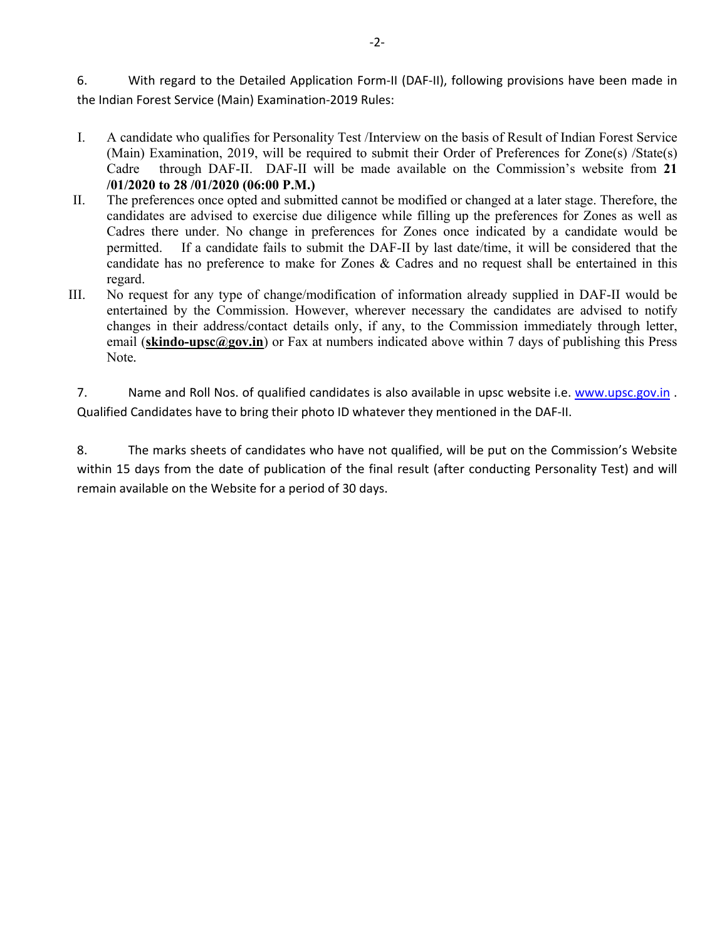6. With regard to the Detailed Application Form-II (DAF-II), following provisions have been made in the Indian Forest Service (Main) Examination‐2019 Rules:

- I. A candidate who qualifies for Personality Test /Interview on the basis of Result of Indian Forest Service (Main) Examination, 2019, will be required to submit their Order of Preferences for Zone(s) /State(s) Cadre through DAF-II. DAF-II will be made available on the Commission's website from **21 /01/2020 to 28 /01/2020 (06:00 P.M.)**
- II. The preferences once opted and submitted cannot be modified or changed at a later stage. Therefore, the candidates are advised to exercise due diligence while filling up the preferences for Zones as well as Cadres there under. No change in preferences for Zones once indicated by a candidate would be permitted. If a candidate fails to submit the DAF-II by last date/time, it will be considered that the candidate has no preference to make for Zones & Cadres and no request shall be entertained in this regard.
- III. No request for any type of change/modification of information already supplied in DAF-II would be entertained by the Commission. However, wherever necessary the candidates are advised to notify changes in their address/contact details only, if any, to the Commission immediately through letter, email (**skindo-upsc@gov.in**) or Fax at numbers indicated above within 7 days of publishing this Press Note*.*

7. Name and Roll Nos. of qualified candidates is also available in upsc website i.e. www.upsc.gov.in . Qualified Candidates have to bring their photo ID whatever they mentioned in the DAF‐II.

8. The marks sheets of candidates who have not qualified, will be put on the Commission's Website within 15 days from the date of publication of the final result (after conducting Personality Test) and will remain available on the Website for a period of 30 days.